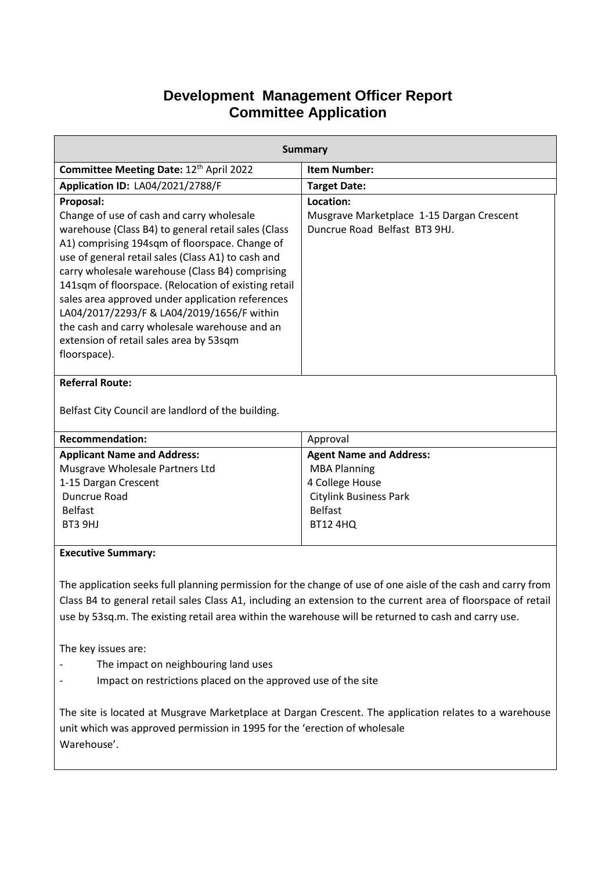## **Development Management Officer Report Committee Application**

| <b>Summary</b>                                                                                               |                                           |  |
|--------------------------------------------------------------------------------------------------------------|-------------------------------------------|--|
| Committee Meeting Date: 12th April 2022                                                                      | <b>Item Number:</b>                       |  |
| <b>Application ID: LA04/2021/2788/F</b>                                                                      | <b>Target Date:</b>                       |  |
| Proposal:                                                                                                    | Location:                                 |  |
| Change of use of cash and carry wholesale                                                                    | Musgrave Marketplace 1-15 Dargan Crescent |  |
| warehouse (Class B4) to general retail sales (Class                                                          | Duncrue Road Belfast BT3 9HJ.             |  |
| A1) comprising 194sqm of floorspace. Change of                                                               |                                           |  |
| use of general retail sales (Class A1) to cash and<br>carry wholesale warehouse (Class B4) comprising        |                                           |  |
| 141sqm of floorspace. (Relocation of existing retail                                                         |                                           |  |
| sales area approved under application references                                                             |                                           |  |
| LA04/2017/2293/F & LA04/2019/1656/F within                                                                   |                                           |  |
| the cash and carry wholesale warehouse and an                                                                |                                           |  |
| extension of retail sales area by 53sqm                                                                      |                                           |  |
| floorspace).                                                                                                 |                                           |  |
| <b>Referral Route:</b>                                                                                       |                                           |  |
|                                                                                                              |                                           |  |
| Belfast City Council are landlord of the building.                                                           |                                           |  |
| <b>Recommendation:</b>                                                                                       | Approval                                  |  |
| <b>Applicant Name and Address:</b>                                                                           | <b>Agent Name and Address:</b>            |  |
| Musgrave Wholesale Partners Ltd                                                                              | <b>MBA Planning</b>                       |  |
| 1-15 Dargan Crescent                                                                                         | 4 College House                           |  |
| Duncrue Road                                                                                                 | <b>Citylink Business Park</b>             |  |
| <b>Belfast</b>                                                                                               | <b>Belfast</b>                            |  |
| BT3 9HJ                                                                                                      | <b>BT12 4HQ</b>                           |  |
| <b>Executive Summary:</b>                                                                                    |                                           |  |
|                                                                                                              |                                           |  |
| The application seeks full planning permission for the change of use of one aisle of the cash and carry from |                                           |  |

Class B4 to general retail sales Class A1, including an extension to the current area of floorspace of retail use by 53sq.m. The existing retail area within the warehouse will be returned to cash and carry use.

The key issues are:

- The impact on neighbouring land uses
- Impact on restrictions placed on the approved use of the site

The site is located at Musgrave Marketplace at Dargan Crescent. The application relates to a warehouse unit which was approved permission in 1995 for the 'erection of wholesale Warehouse'.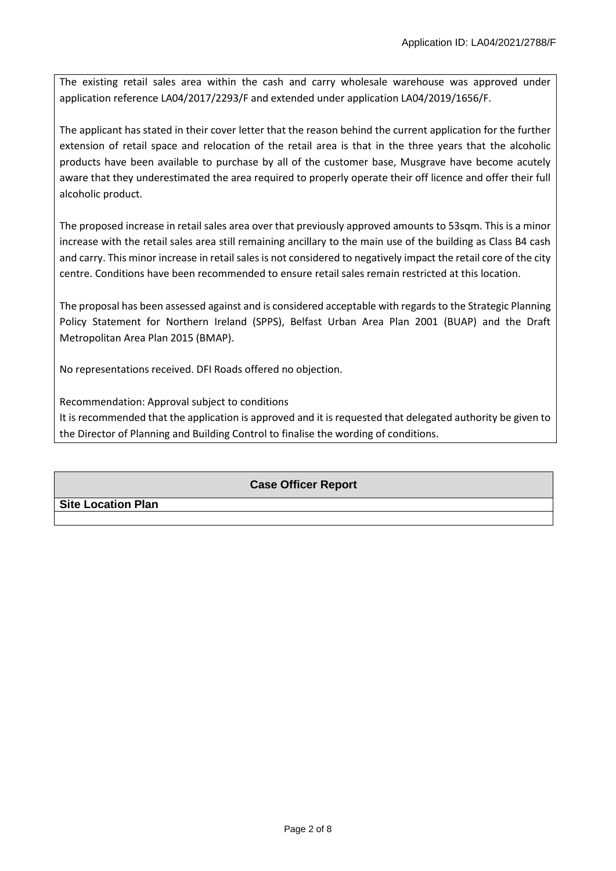The existing retail sales area within the cash and carry wholesale warehouse was approved under application reference LA04/2017/2293/F and extended under application LA04/2019/1656/F.

The applicant has stated in their cover letter that the reason behind the current application for the further extension of retail space and relocation of the retail area is that in the three years that the alcoholic products have been available to purchase by all of the customer base, Musgrave have become acutely aware that they underestimated the area required to properly operate their off licence and offer their full alcoholic product.

The proposed increase in retail sales area over that previously approved amounts to 53sqm. This is a minor increase with the retail sales area still remaining ancillary to the main use of the building as Class B4 cash and carry. This minor increase in retail sales is not considered to negatively impact the retail core of the city centre. Conditions have been recommended to ensure retail sales remain restricted at this location.

The proposal has been assessed against and is considered acceptable with regards to the Strategic Planning Policy Statement for Northern Ireland (SPPS), Belfast Urban Area Plan 2001 (BUAP) and the Draft Metropolitan Area Plan 2015 (BMAP).

No representations received. DFI Roads offered no objection.

Recommendation: Approval subject to conditions It is recommended that the application is approved and it is requested that delegated authority be given to the Director of Planning and Building Control to finalise the wording of conditions.

## **Case Officer Report**

**Site Location Plan**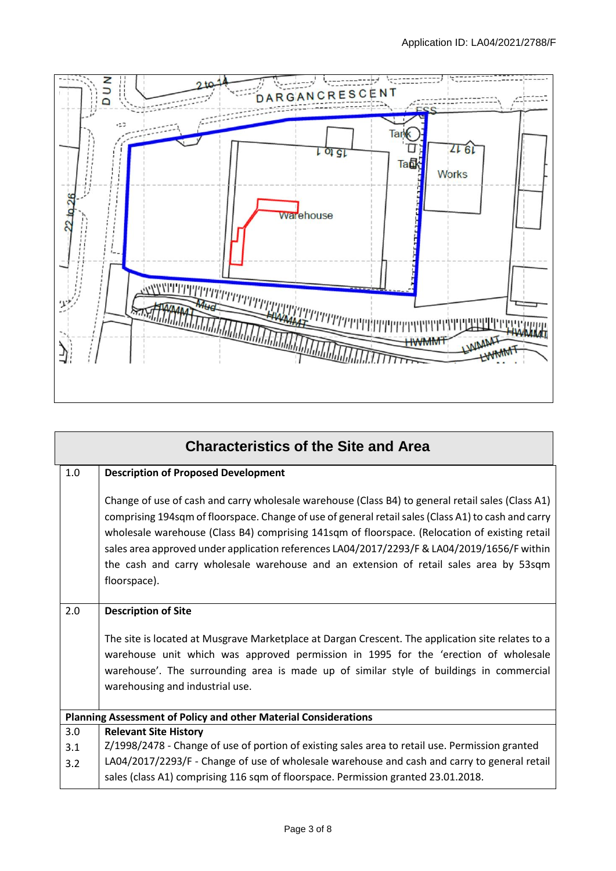

| <b>Characteristics of the Site and Area</b>                     |                                                                                                                                                                                                                                                                                                                                                                                                                                                                                                                    |  |  |
|-----------------------------------------------------------------|--------------------------------------------------------------------------------------------------------------------------------------------------------------------------------------------------------------------------------------------------------------------------------------------------------------------------------------------------------------------------------------------------------------------------------------------------------------------------------------------------------------------|--|--|
| 1.0                                                             | <b>Description of Proposed Development</b>                                                                                                                                                                                                                                                                                                                                                                                                                                                                         |  |  |
|                                                                 | Change of use of cash and carry wholesale warehouse (Class B4) to general retail sales (Class A1)<br>comprising 194sqm of floorspace. Change of use of general retail sales (Class A1) to cash and carry<br>wholesale warehouse (Class B4) comprising 141sqm of floorspace. (Relocation of existing retail<br>sales area approved under application references LA04/2017/2293/F & LA04/2019/1656/F within<br>the cash and carry wholesale warehouse and an extension of retail sales area by 53sqm<br>floorspace). |  |  |
| 2.0                                                             | <b>Description of Site</b>                                                                                                                                                                                                                                                                                                                                                                                                                                                                                         |  |  |
|                                                                 | The site is located at Musgrave Marketplace at Dargan Crescent. The application site relates to a<br>warehouse unit which was approved permission in 1995 for the 'erection of wholesale<br>warehouse'. The surrounding area is made up of similar style of buildings in commercial<br>warehousing and industrial use.                                                                                                                                                                                             |  |  |
| Planning Assessment of Policy and other Material Considerations |                                                                                                                                                                                                                                                                                                                                                                                                                                                                                                                    |  |  |
| 3.0                                                             | <b>Relevant Site History</b>                                                                                                                                                                                                                                                                                                                                                                                                                                                                                       |  |  |
| 3.1                                                             | Z/1998/2478 - Change of use of portion of existing sales area to retail use. Permission granted                                                                                                                                                                                                                                                                                                                                                                                                                    |  |  |
| 3.2                                                             | LA04/2017/2293/F - Change of use of wholesale warehouse and cash and carry to general retail                                                                                                                                                                                                                                                                                                                                                                                                                       |  |  |
|                                                                 | sales (class A1) comprising 116 sqm of floorspace. Permission granted 23.01.2018.                                                                                                                                                                                                                                                                                                                                                                                                                                  |  |  |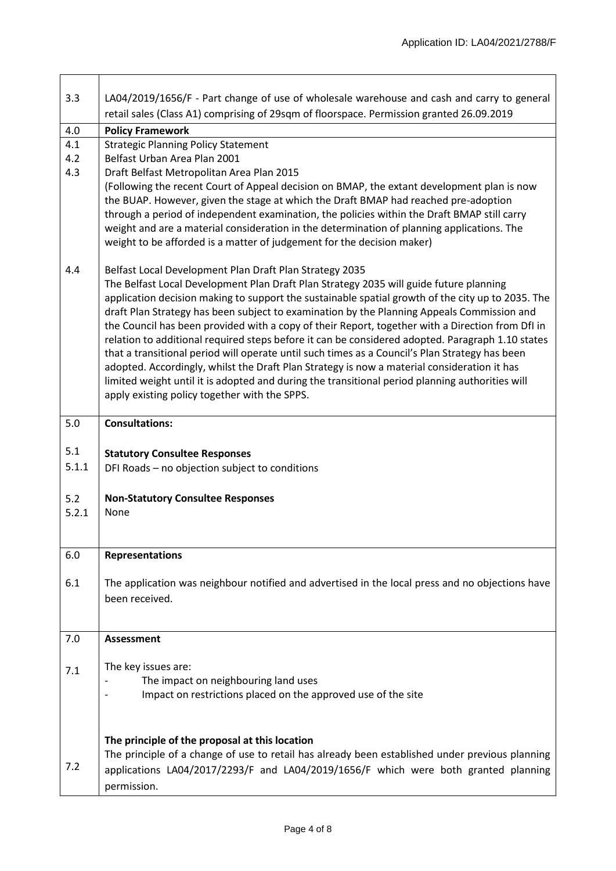| 3.3   | LA04/2019/1656/F - Part change of use of wholesale warehouse and cash and carry to general                                                                                                           |  |
|-------|------------------------------------------------------------------------------------------------------------------------------------------------------------------------------------------------------|--|
|       | retail sales (Class A1) comprising of 29sqm of floorspace. Permission granted 26.09.2019                                                                                                             |  |
| 4.0   | <b>Policy Framework</b>                                                                                                                                                                              |  |
| 4.1   | <b>Strategic Planning Policy Statement</b>                                                                                                                                                           |  |
| 4.2   | Belfast Urban Area Plan 2001                                                                                                                                                                         |  |
| 4.3   | Draft Belfast Metropolitan Area Plan 2015                                                                                                                                                            |  |
|       | (Following the recent Court of Appeal decision on BMAP, the extant development plan is now<br>the BUAP. However, given the stage at which the Draft BMAP had reached pre-adoption                    |  |
|       | through a period of independent examination, the policies within the Draft BMAP still carry                                                                                                          |  |
|       | weight and are a material consideration in the determination of planning applications. The                                                                                                           |  |
|       | weight to be afforded is a matter of judgement for the decision maker)                                                                                                                               |  |
| 4.4   | Belfast Local Development Plan Draft Plan Strategy 2035                                                                                                                                              |  |
|       | The Belfast Local Development Plan Draft Plan Strategy 2035 will guide future planning                                                                                                               |  |
|       | application decision making to support the sustainable spatial growth of the city up to 2035. The                                                                                                    |  |
|       | draft Plan Strategy has been subject to examination by the Planning Appeals Commission and                                                                                                           |  |
|       | the Council has been provided with a copy of their Report, together with a Direction from DfI in<br>relation to additional required steps before it can be considered adopted. Paragraph 1.10 states |  |
|       | that a transitional period will operate until such times as a Council's Plan Strategy has been                                                                                                       |  |
|       | adopted. Accordingly, whilst the Draft Plan Strategy is now a material consideration it has                                                                                                          |  |
|       | limited weight until it is adopted and during the transitional period planning authorities will                                                                                                      |  |
|       | apply existing policy together with the SPPS.                                                                                                                                                        |  |
| 5.0   | <b>Consultations:</b>                                                                                                                                                                                |  |
|       |                                                                                                                                                                                                      |  |
| 5.1   | <b>Statutory Consultee Responses</b>                                                                                                                                                                 |  |
| 5.1.1 | DFI Roads - no objection subject to conditions                                                                                                                                                       |  |
| 5.2   | <b>Non-Statutory Consultee Responses</b>                                                                                                                                                             |  |
| 5.2.1 | None                                                                                                                                                                                                 |  |
|       |                                                                                                                                                                                                      |  |
|       |                                                                                                                                                                                                      |  |
| 6.0   | <b>Representations</b>                                                                                                                                                                               |  |
| 6.1   | The application was neighbour notified and advertised in the local press and no objections have                                                                                                      |  |
|       | been received.                                                                                                                                                                                       |  |
|       |                                                                                                                                                                                                      |  |
| 7.0   | <b>Assessment</b>                                                                                                                                                                                    |  |
|       |                                                                                                                                                                                                      |  |
| 7.1   | The key issues are:                                                                                                                                                                                  |  |
|       | The impact on neighbouring land uses                                                                                                                                                                 |  |
|       | Impact on restrictions placed on the approved use of the site                                                                                                                                        |  |
|       |                                                                                                                                                                                                      |  |
|       |                                                                                                                                                                                                      |  |
|       | The principle of the proposal at this location                                                                                                                                                       |  |
| 7.2   | The principle of a change of use to retail has already been established under previous planning                                                                                                      |  |
|       | applications LA04/2017/2293/F and LA04/2019/1656/F which were both granted planning                                                                                                                  |  |
|       | permission.                                                                                                                                                                                          |  |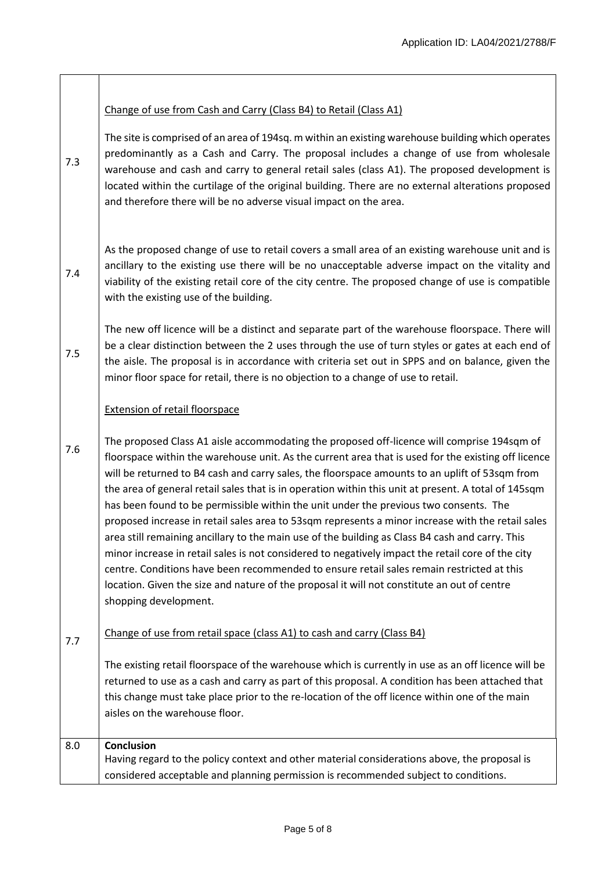## Change of use from Cash and Carry (Class B4) to Retail (Class A1)

7.3 The site is comprised of an area of 194sq. m within an existing warehouse building which operates predominantly as a Cash and Carry. The proposal includes a change of use from wholesale warehouse and cash and carry to general retail sales (class A1). The proposed development is located within the curtilage of the original building. There are no external alterations proposed and therefore there will be no adverse visual impact on the area.

7.4 As the proposed change of use to retail covers a small area of an existing warehouse unit and is ancillary to the existing use there will be no unacceptable adverse impact on the vitality and viability of the existing retail core of the city centre. The proposed change of use is compatible with the existing use of the building.

7.5 The new off licence will be a distinct and separate part of the warehouse floorspace. There will be a clear distinction between the 2 uses through the use of turn styles or gates at each end of the aisle. The proposal is in accordance with criteria set out in SPPS and on balance, given the minor floor space for retail, there is no objection to a change of use to retail.

## Extension of retail floorspace

7.6 The proposed Class A1 aisle accommodating the proposed off-licence will comprise 194sqm of floorspace within the warehouse unit. As the current area that is used for the existing off licence will be returned to B4 cash and carry sales, the floorspace amounts to an uplift of 53sqm from the area of general retail sales that is in operation within this unit at present. A total of 145sqm has been found to be permissible within the unit under the previous two consents. The proposed increase in retail sales area to 53sqm represents a minor increase with the retail sales area still remaining ancillary to the main use of the building as Class B4 cash and carry. This minor increase in retail sales is not considered to negatively impact the retail core of the city centre. Conditions have been recommended to ensure retail sales remain restricted at this location. Given the size and nature of the proposal it will not constitute an out of centre shopping development.

7.7

Change of use from retail space (class A1) to cash and carry (Class B4)

The existing retail floorspace of the warehouse which is currently in use as an off licence will be returned to use as a cash and carry as part of this proposal. A condition has been attached that this change must take place prior to the re-location of the off licence within one of the main aisles on the warehouse floor.

| 8.0 | <b>Conclusion</b>                                                                            |
|-----|----------------------------------------------------------------------------------------------|
|     | Having regard to the policy context and other material considerations above, the proposal is |
|     | considered acceptable and planning permission is recommended subject to conditions.          |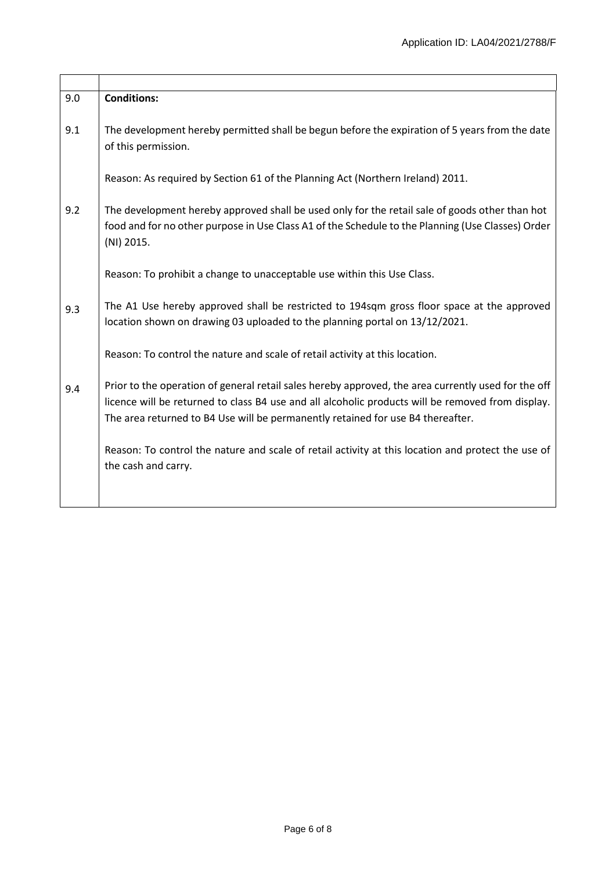| 9.0 | <b>Conditions:</b>                                                                                                                                                                                                                                                                          |
|-----|---------------------------------------------------------------------------------------------------------------------------------------------------------------------------------------------------------------------------------------------------------------------------------------------|
| 9.1 | The development hereby permitted shall be begun before the expiration of 5 years from the date<br>of this permission.                                                                                                                                                                       |
|     | Reason: As required by Section 61 of the Planning Act (Northern Ireland) 2011.                                                                                                                                                                                                              |
| 9.2 | The development hereby approved shall be used only for the retail sale of goods other than hot<br>food and for no other purpose in Use Class A1 of the Schedule to the Planning (Use Classes) Order<br>(NI) 2015.                                                                           |
|     | Reason: To prohibit a change to unacceptable use within this Use Class.                                                                                                                                                                                                                     |
| 9.3 | The A1 Use hereby approved shall be restricted to 194sqm gross floor space at the approved<br>location shown on drawing 03 uploaded to the planning portal on 13/12/2021.                                                                                                                   |
|     | Reason: To control the nature and scale of retail activity at this location.                                                                                                                                                                                                                |
| 9.4 | Prior to the operation of general retail sales hereby approved, the area currently used for the off<br>licence will be returned to class B4 use and all alcoholic products will be removed from display.<br>The area returned to B4 Use will be permanently retained for use B4 thereafter. |
|     | Reason: To control the nature and scale of retail activity at this location and protect the use of<br>the cash and carry.                                                                                                                                                                   |
|     |                                                                                                                                                                                                                                                                                             |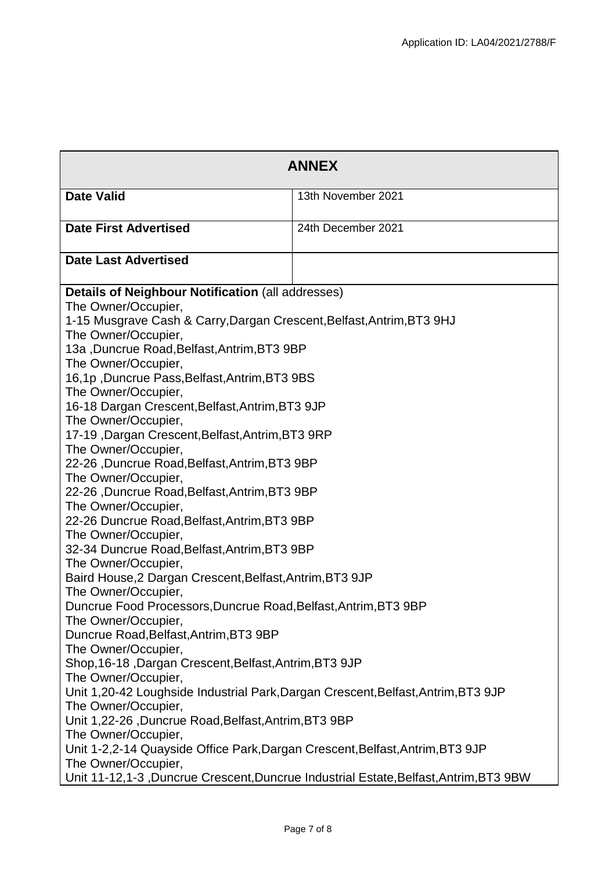| <b>ANNEX</b>                                                                                         |                    |  |
|------------------------------------------------------------------------------------------------------|--------------------|--|
| <b>Date Valid</b>                                                                                    | 13th November 2021 |  |
| <b>Date First Advertised</b>                                                                         | 24th December 2021 |  |
| <b>Date Last Advertised</b>                                                                          |                    |  |
| Details of Neighbour Notification (all addresses)<br>The Owner/Occupier,                             |                    |  |
| 1-15 Musgrave Cash & Carry, Dargan Crescent, Belfast, Antrim, BT3 9HJ                                |                    |  |
| The Owner/Occupier,<br>13a , Duncrue Road, Belfast, Antrim, BT3 9BP                                  |                    |  |
| The Owner/Occupier,<br>16,1p, Duncrue Pass, Belfast, Antrim, BT3 9BS                                 |                    |  |
| The Owner/Occupier,<br>16-18 Dargan Crescent, Belfast, Antrim, BT3 9JP                               |                    |  |
| The Owner/Occupier,                                                                                  |                    |  |
| 17-19, Dargan Crescent, Belfast, Antrim, BT3 9RP<br>The Owner/Occupier,                              |                    |  |
| 22-26, Duncrue Road, Belfast, Antrim, BT3 9BP<br>The Owner/Occupier,                                 |                    |  |
| 22-26, Duncrue Road, Belfast, Antrim, BT3 9BP<br>The Owner/Occupier,                                 |                    |  |
| 22-26 Duncrue Road, Belfast, Antrim, BT3 9BP                                                         |                    |  |
| The Owner/Occupier,<br>32-34 Duncrue Road, Belfast, Antrim, BT3 9BP                                  |                    |  |
| The Owner/Occupier,<br>Baird House, 2 Dargan Crescent, Belfast, Antrim, BT3 9JP                      |                    |  |
| The Owner/Occupier,                                                                                  |                    |  |
| Duncrue Food Processors, Duncrue Road, Belfast, Antrim, BT3 9BP<br>The Owner/Occupier,               |                    |  |
| Duncrue Road, Belfast, Antrim, BT3 9BP<br>The Owner/Occupier,                                        |                    |  |
| Shop, 16-18, Dargan Crescent, Belfast, Antrim, BT3 9JP<br>The Owner/Occupier,                        |                    |  |
| Unit 1,20-42 Loughside Industrial Park, Dargan Crescent, Belfast, Antrim, BT3 9JP                    |                    |  |
| The Owner/Occupier,<br>Unit 1,22-26, Duncrue Road, Belfast, Antrim, BT3 9BP                          |                    |  |
| The Owner/Occupier,<br>Unit 1-2,2-14 Quayside Office Park, Dargan Crescent, Belfast, Antrim, BT3 9JP |                    |  |
| The Owner/Occupier,                                                                                  |                    |  |
| Unit 11-12,1-3, Duncrue Crescent, Duncrue Industrial Estate, Belfast, Antrim, BT3 9BW                |                    |  |